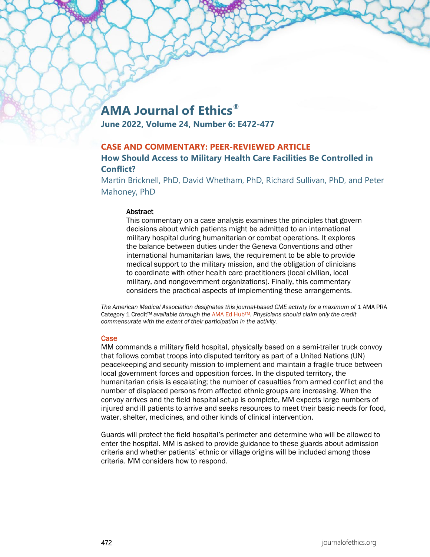# **AMA Journal of Ethics®**

**June 2022, Volume 24, Number 6: E472-477**

## **CASE AND COMMENTARY: PEER-REVIEWED ARTICLE**

## **How Should Access to Military Health Care Facilities Be Controlled in Conflict?**

Martin Bricknell, PhD, David Whetham, PhD, Richard Sullivan, PhD, and Peter Mahoney, PhD

#### **Abstract**

This commentary on a case analysis examines the principles that govern decisions about which patients might be admitted to an international military hospital during humanitarian or combat operations. It explores the balance between duties under the Geneva Conventions and other international humanitarian laws, the requirement to be able to provide medical support to the military mission, and the obligation of clinicians to coordinate with other health care practitioners (local civilian, local military, and nongovernment organizations). Finally, this commentary considers the practical aspects of implementing these arrangements.

The American Medical Association designates this journal-based CME activity for a maximum of 1 AMA PRA Category 1 Credit™ *available through the* [AMA Ed HubTM](https://edhub.ama-assn.org/ama-journal-of-ethics/module/2792300)*. Physicians should claim only the credit commensurate with the extent of their participation in the activity.*

#### **Case**

MM commands a military field hospital, physically based on a semi-trailer truck convoy that follows combat troops into disputed territory as part of a United Nations (UN) peacekeeping and security mission to implement and maintain a fragile truce between local government forces and opposition forces. In the disputed territory, the humanitarian crisis is escalating; the number of casualties from armed conflict and the number of displaced persons from affected ethnic groups are increasing. When the convoy arrives and the field hospital setup is complete, MM expects large numbers of injured and ill patients to arrive and seeks resources to meet their basic needs for food, water, shelter, medicines, and other kinds of clinical intervention.

Guards will protect the field hospital's perimeter and determine who will be allowed to enter the hospital. MM is asked to provide guidance to these guards about admission criteria and whether patients' ethnic or village origins will be included among those criteria. MM considers how to respond.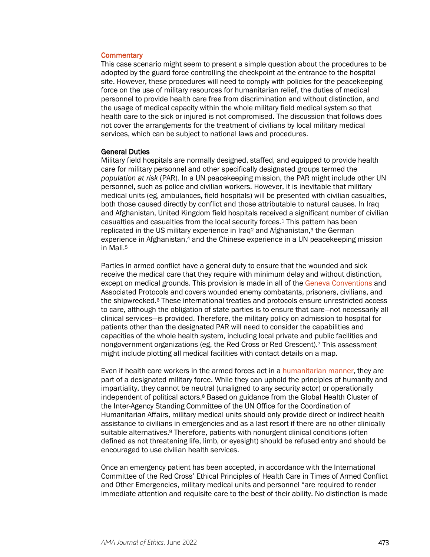#### **Commentary**

This case scenario might seem to present a simple question about the procedures to be adopted by the guard force controlling the checkpoint at the entrance to the hospital site. However, these procedures will need to comply with policies for the peacekeeping force on the use of military resources for humanitarian relief, the duties of medical personnel to provide health care free from discrimination and without distinction, and the usage of medical capacity within the whole military field medical system so that health care to the sick or injured is not compromised. The discussion that follows does not cover the arrangements for the treatment of civilians by local military medical services, which can be subject to national laws and procedures.

#### General Duties

Military field hospitals are normally designed, staffed, and equipped to provide health care for military personnel and other specifically designated groups termed the *population at risk* (PAR). In a UN peacekeeping mission, the PAR might include other UN personnel, such as police and civilian workers. However, it is inevitable that military medical units (eg, ambulances, field hospitals) will be presented with civilian casualties, both those caused directly by conflict and those attributable to natural causes. In Iraq and Afghanistan, United Kingdom field hospitals received a significant number of civilian casualties and casualties from the local security forces.1 This pattern has been replicated in the US military experience in Iraq<sup>2</sup> and Afghanistan,<sup>3</sup> the German experience in Afghanistan,<sup>4</sup> and the Chinese experience in a UN peacekeeping mission in Mali.5

Parties in armed conflict have a general duty to ensure that the wounded and sick receive the medical care that they require with minimum delay and without distinction, except on medical grounds. This provision is made in all of the [Geneva Conventions](https://journalofethics.ama-assn.org/article/survivor-centered-approaches-conflict-related-sexual-violence-international-humanitarian-and-human/2022-06) and Associated Protocols and covers wounded enemy combatants, prisoners, civilians, and the shipwrecked.6 These international treaties and protocols ensure unrestricted access to care, although the obligation of state parties is to ensure that care—not necessarily all clinical services—is provided. Therefore, the military policy on admission to hospital for patients other than the designated PAR will need to consider the capabilities and capacities of the whole health system, including local private and public facilities and nongovernment organizations (eg, the Red Cross or Red Crescent).7 This assessment might include plotting all medical facilities with contact details on a map.

Even if health care workers in the armed forces act in a [humanitarian manner,](https://journalofethics.ama-assn.org/article/humanitarian-uses-drones-and-satellite-imagery-analysis-promises-and-perils/2015-10) they are part of a designated military force. While they can uphold the principles of humanity and impartiality, they cannot be neutral (unaligned to any security actor) or operationally independent of political actors.<sup>8</sup> Based on guidance from the Global Health Cluster of the Inter-Agency Standing Committee of the UN Office for the Coordination of Humanitarian Affairs, military medical units should only provide direct or indirect health assistance to civilians in emergencies and as a last resort if there are no other clinically suitable alternatives.<sup>9</sup> Therefore, patients with nonurgent clinical conditions (often defined as not threatening life, limb, or eyesight) should be refused entry and should be encouraged to use civilian health services.

Once an emergency patient has been accepted, in accordance with the International Committee of the Red Cross' Ethical Principles of Health Care in Times of Armed Conflict and Other Emergencies, military medical units and personnel "are required to render immediate attention and requisite care to the best of their ability. No distinction is made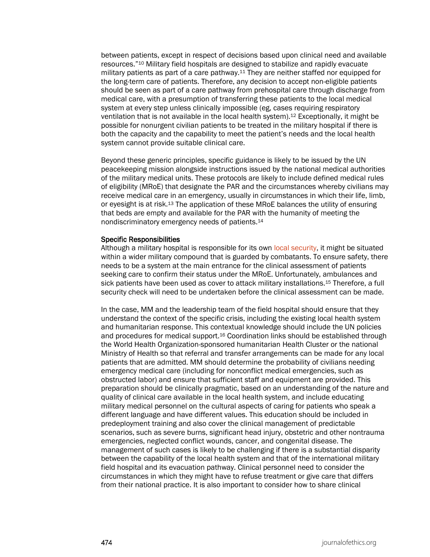between patients, except in respect of decisions based upon clinical need and available resources."10 Military field hospitals are designed to stabilize and rapidly evacuate military patients as part of a care pathway.11 They are neither staffed nor equipped for the long-term care of patients. Therefore, any decision to accept non-eligible patients should be seen as part of a care pathway from prehospital care through discharge from medical care, with a presumption of transferring these patients to the local medical system at every step unless clinically impossible (eg, cases requiring respiratory ventilation that is not available in the local health system).12 Exceptionally, it might be possible for nonurgent civilian patients to be treated in the military hospital if there is both the capacity and the capability to meet the patient's needs and the local health system cannot provide suitable clinical care.

Beyond these generic principles, specific guidance is likely to be issued by the UN peacekeeping mission alongside instructions issued by the national medical authorities of the military medical units. These protocols are likely to include defined medical rules of eligibility (MRoE) that designate the PAR and the circumstances whereby civilians may receive medical care in an emergency, usually in circumstances in which their life, limb, or eyesight is at risk.13 The application of these MRoE balances the utility of ensuring that beds are empty and available for the PAR with the humanity of meeting the nondiscriminatory emergency needs of patients.14

#### Specific Responsibilities

Although a military hospital is responsible for its own [local security,](https://journalofethics.ama-assn.org/article/how-should-military-health-care-workers-respond-when-conflict-reaches-hospital/2022-06) it might be situated within a wider military compound that is guarded by combatants. To ensure safety, there needs to be a system at the main entrance for the clinical assessment of patients seeking care to confirm their status under the MRoE. Unfortunately, ambulances and sick patients have been used as cover to attack military installations.15 Therefore, a full security check will need to be undertaken before the clinical assessment can be made.

In the case, MM and the leadership team of the field hospital should ensure that they understand the context of the specific crisis, including the existing local health system and humanitarian response. This contextual knowledge should include the UN policies and procedures for medical support.16 Coordination links should be established through the World Health Organization-sponsored humanitarian Health Cluster or the national Ministry of Health so that referral and transfer arrangements can be made for any local patients that are admitted. MM should determine the probability of civilians needing emergency medical care (including for nonconflict medical emergencies, such as obstructed labor) and ensure that sufficient staff and equipment are provided. This preparation should be clinically pragmatic, based on an understanding of the nature and quality of clinical care available in the local health system, and include educating military medical personnel on the cultural aspects of caring for patients who speak a different language and have different values. This education should be included in predeployment training and also cover the clinical management of predictable scenarios, such as severe burns, significant head injury, obstetric and other nontrauma emergencies, neglected conflict wounds, cancer, and congenital disease. The management of such cases is likely to be challenging if there is a substantial disparity between the capability of the local health system and that of the international military field hospital and its evacuation pathway. Clinical personnel need to consider the circumstances in which they might have to refuse treatment or give care that differs from their national practice. It is also important to consider how to share clinical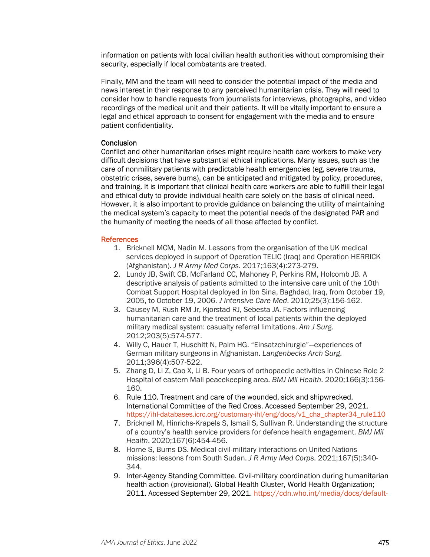information on patients with local civilian health authorities without compromising their security, especially if local combatants are treated.

Finally, MM and the team will need to consider the potential impact of the media and news interest in their response to any perceived humanitarian crisis. They will need to consider how to handle requests from journalists for interviews, photographs, and video recordings of the medical unit and their patients. It will be vitally important to ensure a legal and ethical approach to consent for engagement with the media and to ensure patient confidentiality.

#### **Conclusion**

Conflict and other humanitarian crises might require health care workers to make very difficult decisions that have substantial ethical implications. Many issues, such as the care of nonmilitary patients with predictable health emergencies (eg, severe trauma, obstetric crises, severe burns), can be anticipated and mitigated by policy, procedures, and training. It is important that clinical health care workers are able to fulfill their legal and ethical duty to provide individual health care solely on the basis of clinical need. However, it is also important to provide guidance on balancing the utility of maintaining the medical system's capacity to meet the potential needs of the designated PAR and the humanity of meeting the needs of all those affected by conflict.

### **References**

- 1. Bricknell MCM, Nadin M. Lessons from the organisation of the UK medical services deployed in support of Operation TELIC (Iraq) and Operation HERRICK (Afghanistan). *J R Army Med Corps*. 2017;163(4):273-279.
- 2. Lundy JB, Swift CB, McFarland CC, Mahoney P, Perkins RM, Holcomb JB. A descriptive analysis of patients admitted to the intensive care unit of the 10th Combat Support Hospital deployed in Ibn Sina, Baghdad, Iraq, from October 19, 2005, to October 19, 2006. *J Intensive Care Med*. 2010;25(3):156-162.
- 3. Causey M, Rush RM Jr, Kjorstad RJ, Sebesta JA. Factors influencing humanitarian care and the treatment of local patients within the deployed military medical system: casualty referral limitations. *Am J Surg*. 2012;203(5):574-577.
- 4. Willy C, Hauer T, Huschitt N, Palm HG. "Einsatzchirurgie"—experiences of German military surgeons in Afghanistan. *Langenbecks Arch Surg*. 2011;396(4):507-522.
- 5. Zhang D, Li Z, Cao X, Li B. Four years of orthopaedic activities in Chinese Role 2 Hospital of eastern Mali peacekeeping area. *BMJ Mil Health*. 2020;166(3):156- 160.
- 6. Rule 110. Treatment and care of the wounded, sick and shipwrecked. International Committee of the Red Cross. Accessed September 29, 2021. [https://ihl-databases.icrc.org/customary-ihl/eng/docs/v1\\_cha\\_chapter34\\_rule110](https://ihl-databases.icrc.org/customary-ihl/eng/docs/v1_cha_chapter34_rule110)
- 7. Bricknell M, Hinrichs-Krapels S, Ismail S, Sullivan R. Understanding the structure of a country's health service providers for defence health engagement. *BMJ Mil Health*. 2020;167(6):454-456.
- 8. Horne S, Burns DS. Medical civil-military interactions on United Nations missions: lessons from South Sudan. *J R Army Med Corps*. 2021;167(5):340- 344.
- 9. Inter-Agency Standing Committee. Civil-military coordination during humanitarian health action (provisional). Global Health Cluster, World Health Organization; 2011. Accessed September 29, 2021. [https://cdn.who.int/media/docs/default-](https://cdn.who.int/media/docs/default-source/documents/publications/civil-military-coordination-during-humanitarian-health-action6bf6764e-0f24-4f88-a6de-4af40db18f04.pdf?sfvrsn=7e1d0d6e_1&download=true)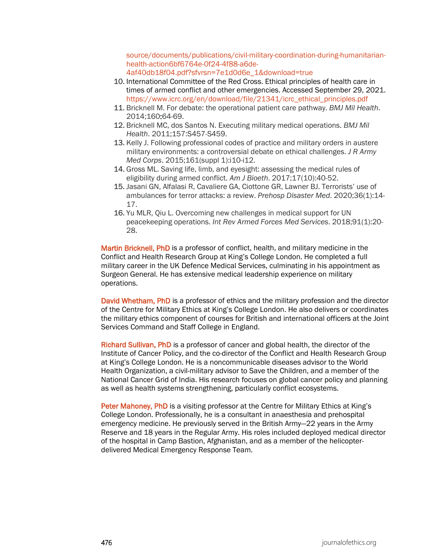[source/documents/publications/civil-military-coordination-during-humanitarian](https://cdn.who.int/media/docs/default-source/documents/publications/civil-military-coordination-during-humanitarian-health-action6bf6764e-0f24-4f88-a6de-4af40db18f04.pdf?sfvrsn=7e1d0d6e_1&download=true)[health-action6bf6764e-0f24-4f88-a6de-](https://cdn.who.int/media/docs/default-source/documents/publications/civil-military-coordination-during-humanitarian-health-action6bf6764e-0f24-4f88-a6de-4af40db18f04.pdf?sfvrsn=7e1d0d6e_1&download=true)[4af40db18f04.pdf?sfvrsn=7e1d0d6e\\_1&download=true](https://cdn.who.int/media/docs/default-source/documents/publications/civil-military-coordination-during-humanitarian-health-action6bf6764e-0f24-4f88-a6de-4af40db18f04.pdf?sfvrsn=7e1d0d6e_1&download=true)

- 10. International Committee of the Red Cross. Ethical principles of health care in times of armed conflict and other emergencies. Accessed September 29, 2021. [https://www.icrc.org/en/download/file/21341/icrc\\_ethical\\_principles.pdf](https://www.icrc.org/en/download/file/21341/icrc_ethical_principles.pdf)
- 11. Bricknell M. For debate: the operational patient care pathway. *BMJ Mil Health*. 2014;160:64-69.
- 12. Bricknell MC, dos Santos N. Executing military medical operations. *BMJ Mil Health*. 2011;157:S457-S459.
- 13. Kelly J. Following professional codes of practice and military orders in austere military environments: a controversial debate on ethical challenges. *J R Army Med Corps*. 2015;161(suppl 1):i10-i12.
- 14. Gross ML. Saving life, limb, and eyesight: assessing the medical rules of eligibility during armed conflict. *Am J Bioeth*. 2017;17(10):40-52.
- 15. Jasani GN, Alfalasi R, Cavaliere GA, Ciottone GR, Lawner BJ. Terrorists' use of ambulances for terror attacks: a review. *Prehosp Disaster Med*. 2020;36(1):14- 17.
- 16. Yu MLR, Qiu L. Overcoming new challenges in medical support for UN peacekeeping operations. *Int Rev Armed Forces Med Services*. 2018;91(1):20- 28.

Martin Bricknell, PhD is a professor of conflict, health, and military medicine in the Conflict and Health Research Group at King's College London. He completed a full military career in the UK Defence Medical Services, culminating in his appointment as Surgeon General. He has extensive medical leadership experience on military operations.

David Whetham, PhD is a professor of ethics and the military profession and the director of the Centre for Military Ethics at King's College London. He also delivers or coordinates the military ethics component of courses for British and international officers at the Joint Services Command and Staff College in England.

Richard Sullivan, PhD is a professor of cancer and global health, the director of the Institute of Cancer Policy, and the co-director of the Conflict and Health Research Group at King's College London. He is a noncommunicable diseases advisor to the World Health Organization, a civil-military advisor to Save the Children, and a member of the National Cancer Grid of India. His research focuses on global cancer policy and planning as well as health systems strengthening, particularly conflict ecosystems.

Peter Mahoney, PhD is a visiting professor at the Centre for Military Ethics at King's College London. Professionally, he is a consultant in anaesthesia and prehospital emergency medicine. He previously served in the British Army—22 years in the Army Reserve and 18 years in the Regular Army. His roles included deployed medical director of the hospital in Camp Bastion, Afghanistan, and as a member of the helicopterdelivered Medical Emergency Response Team.